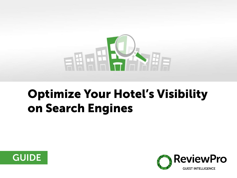

## Optimize Your Hotel's Visibility on Search Engines



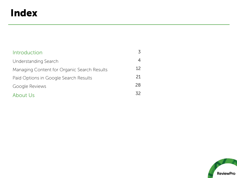### Index

| Introduction                                |     |
|---------------------------------------------|-----|
| Understanding Search                        |     |
| Managing Content for Organic Search Results | 12  |
| Paid Options in Google Search Results       | 21  |
| Google Reviews                              | 28  |
| About Us                                    | 32. |

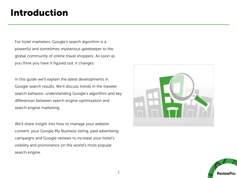### Introduction

For hotel marketers, Google's search algorithm is a powerful and sometimes mysterious gatekeeper to the global community of online travel shoppers. As soon as you think you have it figured out, it changes.

In this guide we'll explain the latest developments in Google search results. We'll discuss trends in the traveler search behavior, understanding Google's algorithm and key differences between search engine optimization and search engine marketing.

We'll share insight into how to manage your website content, your Google My Business listing, paid advertising campaigns and Google reviews to increase your hotel's visibility and prominence on the world's most popular search engine.



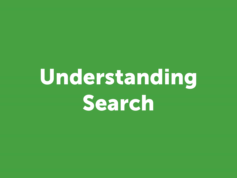## Understanding Search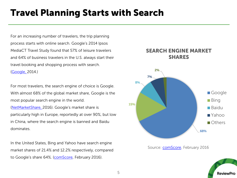### Travel Planning Starts with Search

For an increasing number of travelers, the trip planning process starts with online search. Google's 2014 Ipsos MediaCT Travel Study found that 57% of leisure travelers and 64% of business travelers in the U.S. always start their travel booking and shopping process with search. [\(Google,](https://www.thinkwithgoogle.com/research-studies/2014-travelers-road-to-decision.html) 2014.)

For most travelers, the search engine of choice is Google. With almost 68% of the global market share, Google is the most popular search engine in the world.

[\(NetMarketShare,](https://www.netmarketshare.com/search-engine-market-share.aspx?qprid=4&qpcustomd=0) 2016). Google's market share is particularly high in Europe, reportedly at over 90%, but low in China, where the search engine is banned and Baidu dominates.

In the United States, Bing and Yahoo have search engine market shares of 21.4% and 12.2% respectively, compared to Google's share 64%. [\(comScore,](http://www.comscore.com/Insights/Rankings/comScore-Releases-February-2016-US-Desktop-Search-Engine-Rankings) February 2016).



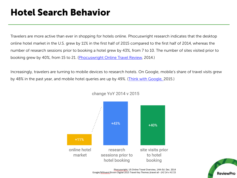### Hotel Search Behavior

Travelers are more active than ever in shopping for hotels online. Phocuswright research indicates that the desktop online hotel market in the U.S. grew by 11% in the first half of 2015 compared to the first half of 2014, whereas the number of research sessions prior to booking a hotel grew by 43%, from 7 to 10. The number of sites visited prior to booking grew by 40%, from 15 to 21. [\(Phocuswright Online Travel Review,](http://www.phocuswright.com/Travel-Research/Market-Overview-Sizing/U-S-Online-Travel-Overview-Fourteenth-Edition) 2014.)

Increasingly, travelers are turning to mobile devices to research hotels. On Google, mobile's share of travel visits grew by 48% in the past year, and mobile hotel queries are up by 49%. ([Think with Google,](https://www.thinkwithgoogle.com/articles/travel-trends-4-mobile-moments-changing-consumer-journey.html) 2015.)



change YoY 2014 v 2015



Phocuswright, US Online Travel Overview, 14th Ed. Dec. 2014 Google/Millward Brown Digital 2015 Travel Key Themes (travel all - (H1'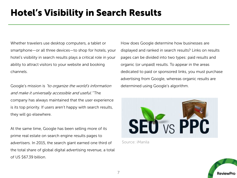### Hotel's Visibility in Search Results

Whether travelers use desktop computers, a tablet or smartphone—or all three devices—to shop for hotels, your hotel's visibility in search results plays a critical role in your ability to attract visitors to your website and booking channels.

Google's mission is "to organize the world's information and make it universally accessible and useful." The company has always maintained that the user experience is its top priority. If users aren't happy with search results, they will go elsewhere.

At the same time, Google has been selling more of its prime real estate on search engine results pages to advertisers. In 2015, the search giant earned one third of the total share of global digital advertising revenue, a total of US \$67.39 billion.

How does Google determine how businesses are displayed and ranked in search results? Links on results pages can be divided into two types: paid results and organic (or unpaid) results. To appear in the areas dedicated to paid or sponsored links, you must purchase advertising from Google, whereas organic results are determined using Google's algorithm.



Source: iManila

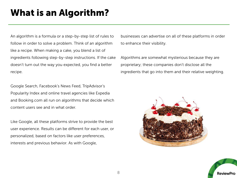## What is an Algorithm?

An algorithm is a formula or a step-by-step list of rules to follow in order to solve a problem. Think of an algorithm like a recipe. When making a cake, you blend a list of ingredients following step-by-step instructions. If the cake doesn't turn out the way you expected, you find a better recipe.

Google Search, Facebook's News Feed, TripAdvisor's Popularity Index and online travel agencies like Expedia and Booking.com all run on algorithms that decide which content users see and in what order.

Like Google, all these platforms strive to provide the best user experience. Results can be different for each user, or personalized, based on factors like user preferences, interests and previous behavior. As with Google,

businesses can advertise on all of these platforms in order to enhance their visibility.

Algorithms are somewhat mysterious because they are proprietary; these companies don't disclose all the ingredients that go into them and their relative weighting.



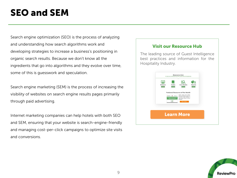## SEO and SEM

Search engine optimization (SEO) is the process of analyzing and understanding how search algorithms work and developing strategies to increase a business's positioning in organic search results. Because we don't know all the ingredients that go into algorithms and they evolve over time, some of this is guesswork and speculation.

Search engine marketing (SEM) is the process of increasing the visibility of websites on search engine results pages primarily through paid advertising.

Internet marketing companies can help hotels with both SEO and SEM, ensuring that your website is search-engine-friendly and managing cost-per-click campaigns to optimize site visits and conversions.

#### Visit our Resource Hub

The leading source of Guest Intelligence best practices and information for the Hospitality Industry.



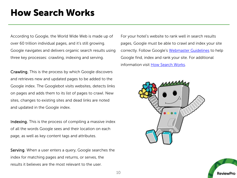### How Search Works

According to Google, the World Wide Web is made up of over 60 trillion individual pages, and it's still growing. Google navigates and delivers organic search results using three key processes: crawling, indexing and serving.

Crawling. This is the process by which Google discovers and retrieves new and updated pages to be added to the Google index. The Googlebot visits websites, detects links on pages and adds them to its list of pages to crawl. New sites, changes to existing sites and dead links are noted and updated in the Google index.

Indexing. This is the process of compiling a massive index of all the words Google sees and their location on each page, as well as key content tags and attributes.

Serving. When a user enters a query, Google searches the index for matching pages and returns, or serves, the results it believes are the most relevant to the user.

For your hotel's website to rank well in search results pages, Google must be able to crawl and index your site correctly. Follow Google's [Webmaster Guidelines](https://support.google.com/webmasters/answer/35769) to help Google find, index and rank your site. For additional information visit [How Search Works.](https://support.google.com/webmasters/answer/70897?hl=en)



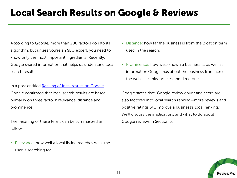### Local Search Results on Google & Reviews

According to Google, more than 200 factors go into its algorithm, but unless you're an SEO expert, you need to know only the most important ingredients. Recently, Google shared information that helps us understand local search results.

In a post entitled [Ranking of local results on Google](https://support.google.com/business/answer/7091?hl=en), Google confirmed that local search results are based primarily on three factors: relevance, distance and prominence.

The meaning of these terms can be summarized as follows:

• Relevance: how well a local listing matches what the user is searching for.

- Distance: how far the business is from the location term used in the search.
- Prominence: how well-known a business is, as well as information Google has about the business from across the web, like links, articles and directories.

Google states that "Google review count and score are also factored into local search ranking—more reviews and positive ratings will improve a business's local ranking." We'll discuss the implications and what to do about Google reviews in Section 5.

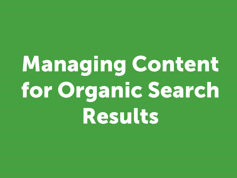# Managing Content for Organic Search Results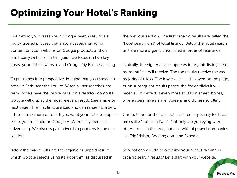## Optimizing Your Hotel's Ranking

Optimizing your presence in Google search results is a multi-faceted process that encompasses managing content on your website, on Google products and on third-party websites. In this guide we focus on two key areas: your hotel's website and Google My Business listing.

To put things into perspective, imagine that you manage a hotel in Paris near the Louvre. When a user searches the term "hotels near the louvre paris" on a desktop computer, Google will display the most relevant results (see image on next page). The first links are paid and can range from zero ads to a maximum of four. If you want your hotel to appear there, you must bid on Google AdWords pay-per-click advertising. We discuss paid advertising options in the next section.

Below the paid results are the organic or unpaid results, which Google selects using its algorithm, as discussed in the previous section. The first organic results are called the "hotel search unit" of local listings. Below the hotel search unit are more organic links, listed in order of relevance.

Typically, the higher a hotel appears in organic listings, the more traffic it will receive. The top results receive the vast majority of clicks. The lower a link is displayed on the page, or on subsequent results pages, the fewer clicks it will receive. This effect is even more acute on smartphones, where users have smaller screens and do less scrolling.

Competition for the top spots is fierce, especially for broad terms like "hotels in Paris". Not only are you vying with other hotels in the area, but also with big travel companies like TripAdvisor, Booking.com and Expedia.

So what can you do to optimize your hotel's ranking in organic search results? Let's start with your website.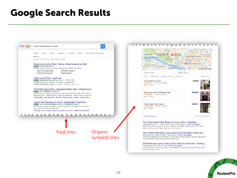### Google Search Results



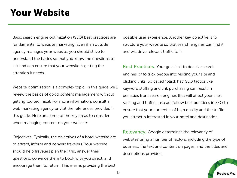### Your Website

Basic search engine optimization (SEO) best practices are fundamental to website marketing. Even if an outside agency manages your website, you should strive to understand the basics so that you know the questions to ask and can ensure that your website is getting the attention it needs.

Website optimization is a complex topic. In this guide we'll review the basics of good content management without getting too technical. For more information, consult a web marketing agency or visit the references provided in this guide. Here are some of the key areas to consider when managing content on your website:

Objectives. Typically, the objectives of a hotel website are to attract, inform and convert travelers. Your website should help travelers plan their trip, answer their questions, convince them to book with you direct, and encourage them to return. This means providing the best possible user experience. Another key objective is to structure your website so that search engines can find it and will drive relevant traffic to it.

Best Practices. Your goal isn't to deceive search engines or to trick people into visiting your site and clicking links. So called "black hat" SEO tactics like keyword stuffing and link purchasing can result in penalties from search engines that will affect your site's ranking and traffic. Instead, follow best practices in SEO to ensure that your content is of high quality and the traffic you attract is interested in your hotel and destination.

Relevancy. Google determines the relevancy of websites using a number of factors, including the type of business, the text and content on pages, and the titles and descriptions provided.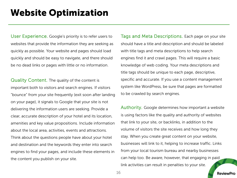### Website Optimization

User Experience. Google's priority is to refer users to websites that provide the information they are seeking as quickly as possible. Your website and pages should load quickly and should be easy to navigate, and there should be no dead links or pages with little or no information.

Quality Content. The quality of the content is important both to visitors and search engines. If visitors "bounce" from your site frequently (exit soon after landing on your page), it signals to Google that your site is not delivering the information users are seeking. Provide a clear, accurate description of your hotel and its location, amenities and key value propositions. Include information about the local area, activities, events and attractions. Think about the questions people have about your hotel and destination and the keywords they enter into search engines to find your pages, and include these elements in the content you publish on your site.

Tags and Meta Descriptions. Each page on your site should have a title and description and should be labeled with title tags and meta descriptions to help search engines find it and crawl pages. This will require a basic knowledge of web coding. Your meta descriptions and title tags should be unique to each page, descriptive, specific and accurate. If you use a content management system like WordPress, be sure that pages are formatted to be crawled by search engines.

Authority. Google determines how important a website is using factors like the quality and authority of websites that link to your site, or backlinks, in addition to the volume of visitors the site receives and how long they stay. When you create great content on your website, businesses will link to it, helping to increase traffic. Links from your local tourism bureau and nearby businesses can help too. Be aware, however, that engaging in paid link activities can result in penalties to your site.

ReviewPro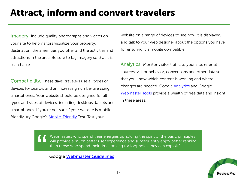### Attract, inform and convert travelers

**Imagery.** Include quality photographs and videos on your site to help visitors visualize your property, destination, the amenities you offer and the activities and attractions in the area. Be sure to tag imagery so that it is searchable.

Compatibility. These days, travelers use all types of devices for search, and an increasing number are using smartphones. Your website should be designed for all types and sizes of devices, including desktops, tablets and smartphones. If you're not sure if your website is mobile-friendly, try Google's [Mobile-Friendly](https://www.google.ca/webmasters/tools/mobile-friendly/) Test. Test your

website on a range of devices to see how it is displayed, and talk to your web designer about the options you have for ensuring it is mobile compatible.

Analytics. Monitor visitor traffic to your site, referral sources, visitor behavior, conversions and other data so that you know which content is working and where changes are needed. Google [Analytics](https://www.google.com/analytics) and Google [Webmaster Tools p](https://www.google.com/webmasters/tools/)rovide a wealth of free data and insight in these areas.

Webmasters who spend their energies upholding the spirit of the basic principles will provide a much better user experience and subsequently enjoy better ranking than those who spend their time looking for loopholes they can exploit." "<br>"

Google [Webmaster Guidelines](https://support.google.com/webmasters/answer/35769)

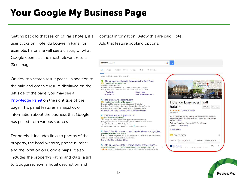## Your Google My Business Page

Getting back to that search of Paris hotels, if a user clicks on Hotel du Louvre in Paris, for example, he or she will see a display of what Google deems as the most relevant results. (See image.)

On desktop search result pages, in addition to the paid and organic results displayed on the left side of the page, you may see a [Knowledge Panel](https://support.google.com/business/answer/6331288?hl=en) on the right side of the page. This panel features a snapshot of information about the business that Google has pulled from various sources.

For hotels, it includes links to photos of the property, the hotel website, phone number and the location on Google Maps. It also includes the property's rating and class, a link to Google reviews, a hotel description and

contact information. Below this are paid Hotel Ads that feature booking options.

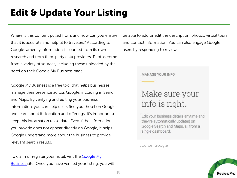## Edit & Update Your Listing

Where is this content pulled from, and how can you ensure that it is accurate and helpful to travelers? According to Google, amenity information is sourced from its own research and from third-party data providers. Photos come from a variety of sources, including those uploaded by the hotel on their Google My Business page.

Google My Business is a free tool that helps businesses manage their presence across Google, including in Search and Maps. By verifying and editing your business information, you can help users find your hotel on Google and learn about its location and offerings. It's important to keep this information up to date. Even if the information you provide does not appear directly on Google, it helps Google understand more about the business to provide relevant search results.

[To claim or register your hotel, visit the Google My](https://www.google.com/business/)  Business site. Once you have verified your listing, you will be able to add or edit the description, photos, virtual tours and contact information. You can also engage Google users by responding to reviews.

#### **MANAGE YOUR INFO**

### Make sure your info is right.

Edit your business details anytime and they're automatically updated on Google Search and Maps, all from a single dashboard.

#### Source: Google

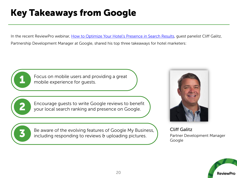## Key Takeaways from Google

In the recent ReviewPro webinar, [How to Optimize Your Hotel's Presence in Search Results](https://www.reviewpro.com/resources/webinar-how-to-optimize-your-hotel-presence-in-search-results/), quest panelist Cliff Galitz, Partnership Development Manager at Google, shared his top three takeaways for hotel marketers:



Focus on mobile users and providing a great mobile experience for guests.



Encourage guests to write Google reviews to benefit your local search ranking and presence on Google.



Be aware of the evolving features of Google My Business,<br>including responding to reviews & uploading pictures.



Cliff Galitz Partner Development Manager Google

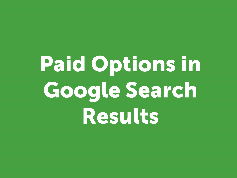# Paid Options in Google Search Results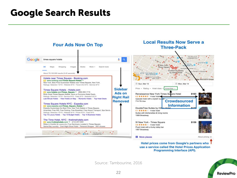### Google Search Results



Hotel prices come from Google's partners who use a service called the Hotel Prices Application Programming Interface (API).

Source: Tambourine, 2016

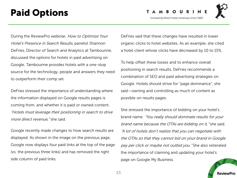### Paid Options

O U R I Increasing direct hotel revenues since 1983



During the ReviewPro webinar, How to Optimize Your Hotel's Presence in Search Results, panelist Shannon DeFries, Director of Search and Analytics at Tambourine, discussed the options for hotels in paid advertising on Google. Tambourine provides hotels with a one-stop source for the technology, people and answers they need to outperform their comp set.

DeFries stressed the importance of understanding where the information displayed on Google results pages is coming from, and whether it is paid or owned content. "Hotels must leverage their positioning in search to drive more direct revenue, "she said.

Google recently made changes to how search results are displayed. As shown in the image on the previous page, Google now displays four paid links at the top of the page (vs. the previous three links) and has removed the right side column of paid links.

DeFries said that these changes have resulted in lower organic clicks to hotel websites. As an example, she cited a hotel client whose clicks have decreased by 10 to 15%.

To help offset these losses and to enhance overall positioning in search results, DeFries recommends a combination of SEO and paid advertising strategies on Google. Hotels should strive for "page dominance", she said—owning and controlling as much of content as possible on results pages.

She stressed the importance of bidding on your hotel's brand name. "You really should dominate results for your brand name because the OTAs are bidding on it, "she said. "A lot of hotels don't realize that you can negotiate with the OTAs so that they cannot bid on your brand in Google pay per click or maybe not outbid you." She also reiterated the importance of claiming and updating your hotel's page on Google My Business.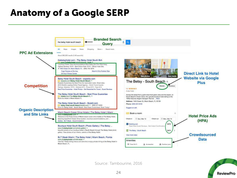### Anatomy of a Google SERP



Source: Tambourine, 2016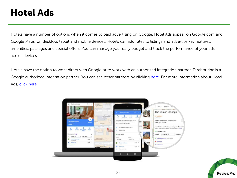### Hotel Ads

Hotels have a number of options when it comes to paid advertising on Google. Hotel Ads appear on Google.com and Google Maps, on desktop, tablet and mobile devices. Hotels can add rates to listings and advertise key features, amenities, packages and special offers. You can manage your daily budget and track the performance of your ads across devices.

Hotels have the option to work direct with Google or to work with an authorized integration partner. Tambourine is a Google authorized integration partner. You can see other partners by clicking [here.](https://www.google.com/intl/en/ads/hotels/find-a-partner/%E2%80%8B) For more information about Hotel Ads, [click here](https://www.google.com/intl/en/ads/hotels/).



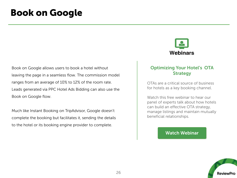### Book on Google

Book on Google allows users to book a hotel without leaving the page in a seamless flow. The commission model ranges from an average of 10% to 12% of the room rate. Leads generated via PPC Hotel Ads Bidding can also use the Book on Google flow.

Much like Instant Booking on TripAdvisor, Google doesn't complete the booking but facilitates it, sending the details to the hotel or its booking engine provider to complete.



### Optimizing Your Hotel's OTA **Strategy**

OTAs are a critical source of business for hotels as a key booking channel.

Watch this free webinar to hear our panel of experts talk about how hotels can build an effective OTA strategy, manage listings and maintain mutually beneficial relationships.

### [Watch Webinar](https://www.reviewpro.com/resources/optimize-hotels-ota-strategy/)

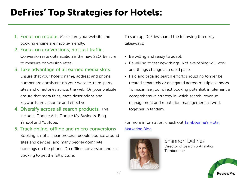### DeFries' Top Strategies for Hotels:

- 1. Focus on mobile. Make sure your website and booking engine are mobile-friendly.
- 2. Focus on conversions, not just traffic. Conversion rate optimization is the new SEO. Be sure to measure conversion rates.

### 3. Take advantage of all earned media slots.

Ensure that your hotel's name, address and phone number are consistent on your website, third-party sites and directories across the web. On your website, ensure that meta titles, meta descriptions and keywords are accurate and effective.

- 4. Diversify across all search products. This includes Google Ads, Google My Business, Bing, Yahoo! and YouTube.
- 5. Track online, offline and micro conversions. Booking is not a linear process; people bounce around sites and devices, and many people complete **We will develop a solution to any concern raised.** Ship bookings on the phone. Do offline conversion and call tracking to get the full picture.

To sum up, DeFries shared the following three key takeaways:

- Be willing and ready to adapt.
- Be willing to test new things. Not everything will work, and things change at a rapid pace.
- Paid and organic search efforts should no longer be treated separately or delegated across multiple vendors. To maximize your direct booking potential, implement a comprehensive strategy in which search, revenue management and reputation management all work together in tandem.

[For more information, check out Tambourine's Hotel](http://www.tambourine.com/blog/) Marketing Blog.



Shannon DeFries Director of Search & Analytics Tambourine

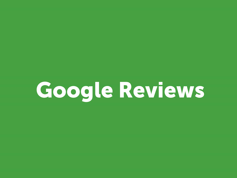## Google Reviews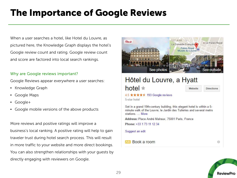## The Importance of Google Reviews

When a user searches a hotel, like Hotel du Louvre, as pictured here, the Knowledge Graph displays the hotel's Google review count and rating. Google review count and score are factored into local search rankings.

### Why are Google reviews important?

Google Reviews appear everywhere a user searches:

- Knowledge Graph
- Google Maps
- Google+
- Google mobile versions of the above products

More reviews and positive ratings will improve a business's local ranking. A positive rating will help to gain traveler trust during hotel search process. This will result in more traffic to your website and more direct bookings. You can also strengthen relationships with your guests by directly engaging with reviewers on Google.



```
4.5 ★★★★★ 193 Google reviews
5-star hotel
```
Set in a grand 19th-century building, this elegant hotel is within a 5minute walk of the Louvre. Ie Jardin des Tuileries and several metro stations.... More

Address: Place André Malraux, 75001 Paris, France

Phone: +33 1 73 11 12 34

Suggest an edit

Book a room

0

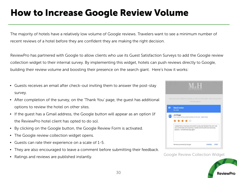## How to Increase Google Review Volume

The majority of hotels have a relatively low volume of Google reviews. Travelers want to see a minimum number of recent reviews of a hotel before they are confident they are making the right decision.

ReviewPro has partnered with Google to allow clients who use its Guest Satisfaction Surveys to add the Google review collection widget to their internal survey. By implementing this widget, hotels can push reviews directly to Google, building their review volume and boosting their presence on the search giant. Here's how it works:

- Guests receives an email after check-out inviting them to answer the post-stay survey.
- After completion of the survey, on the 'Thank You' page, the guest has additional options to review the hotel on other sites.
- If the guest has a Gmail address, the Google button will appear as an option (if the ReviewPro hotel client has opted to do so).
- By clicking on the Google button, the Google Review Form is activated.
- The Google review collection widget opens.
- Guests can rate their experience on a scale of 1-5.
- They are also encouraged to leave a comment before submitting their feedback.
- Ratings and reviews are published instantly.



#### Google Review Collection Widget

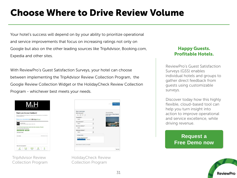## Choose Where to Drive Review Volume

Your hotel's success will depend on by your ability to prioritize operational and service improvements that focus on increasing ratings not only on Google but also on the other leading sources like TripAdvisor, Booking.com, Expedia and other sites.

With ReviewPro's Guest Satisfaction Surveys, your hotel can choose between implementing the TripAdvisor Review Collection Program, the Google Review Collection Widget or the HolidayCheck Review Collection Program - whichever best meets your needs.



TripAdvisor Review Collection Program



HolidayCheck Review Collection Program

### Happy Guests. Profitable Hotels.

ReviewPro's Guest Satisfaction Surveys (GSS) enables individual hotels and groups to gather direct feedback from guests using customizable surveys.

Discover today how this highly flexible, cloud-based tool can help you turn insight into action to improve operational and service excellence, while driving revenue.

### **Request a [Free Demo now](http://resources.reviewpro.com/gss?utm_campaign=demo-gss&utm_medium=seo&utm_source=website&__hssc=25299618.4.1428940675564&__hstc=25299618.b3cf563524cb06650888100d5c83978e.1412863387653.1428931754752.1428940675564.142&hsCtaTracking=047cea68-c137-4)**

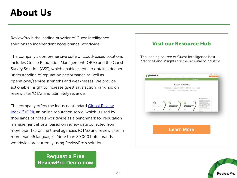### About Us

ReviewPro is the leading provider of Guest Intelligence solutions to independent hotel brands worldwide.

The company's comprehensive suite of cloud-based solutions includes Online Reputation Management (ORM) and the Guest Survey Solution (GSS), which enable clients to obtain a deeper understanding of reputation performance as well as operational/service strengths and weaknesses. We provide actionable insight to increase guest satisfaction, rankings on review sites/OTAs and ultimately revenue.

The company offers the industry-standard Global Review Index<sup>TM</sup> (GRI), an online reputation score, which is used by thousands of hotels worldwide as a benchmark for reputation management efforts, based on review data collected from more than 175 online travel agencies (OTAs) and review sites in more than 45 languages. More than 30,000 hotel brands worldwide are currently using ReviewPro's solutions.

> **[Request a Free](https://www.reviewpro.com/#demoblock)  ReviewPro Demo now**

### Visit our Resource Hub

The leading source of Guest Intelligence best practices and insights for the hospitality industry